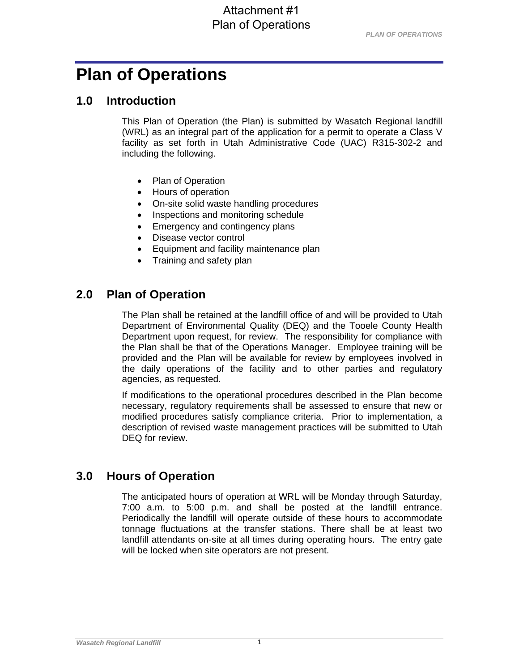# **Plan of Operations**

### **1.0 Introduction**

This Plan of Operation (the Plan) is submitted by Wasatch Regional landfill (WRL) as an integral part of the application for a permit to operate a Class V facility as set forth in Utah Administrative Code (UAC) R315-302-2 and including the following.

- Plan of Operation
- Hours of operation
- On-site solid waste handling procedures
- Inspections and monitoring schedule
- Emergency and contingency plans
- Disease vector control
- Equipment and facility maintenance plan
- Training and safety plan

# **2.0 Plan of Operation**

The Plan shall be retained at the landfill office of and will be provided to Utah Department of Environmental Quality (DEQ) and the Tooele County Health Department upon request, for review. The responsibility for compliance with the Plan shall be that of the Operations Manager. Employee training will be provided and the Plan will be available for review by employees involved in the daily operations of the facility and to other parties and regulatory agencies, as requested.

If modifications to the operational procedures described in the Plan become necessary, regulatory requirements shall be assessed to ensure that new or modified procedures satisfy compliance criteria. Prior to implementation, a description of revised waste management practices will be submitted to Utah DEQ for review.

# **3.0 Hours of Operation**

The anticipated hours of operation at WRL will be Monday through Saturday, 7:00 a.m. to 5:00 p.m. and shall be posted at the landfill entrance. Periodically the landfill will operate outside of these hours to accommodate tonnage fluctuations at the transfer stations. There shall be at least two landfill attendants on-site at all times during operating hours. The entry gate will be locked when site operators are not present.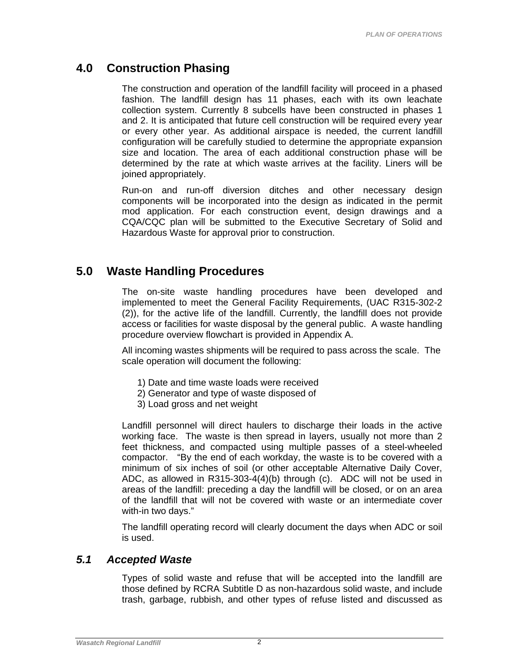# **4.0 Construction Phasing**

The construction and operation of the landfill facility will proceed in a phased fashion. The landfill design has 11 phases, each with its own leachate collection system. Currently 8 subcells have been constructed in phases 1 and 2. It is anticipated that future cell construction will be required every year or every other year. As additional airspace is needed, the current landfill configuration will be carefully studied to determine the appropriate expansion size and location. The area of each additional construction phase will be determined by the rate at which waste arrives at the facility. Liners will be joined appropriately.

Run-on and run-off diversion ditches and other necessary design components will be incorporated into the design as indicated in the permit mod application. For each construction event, design drawings and a CQA/CQC plan will be submitted to the Executive Secretary of Solid and Hazardous Waste for approval prior to construction.

## **5.0 Waste Handling Procedures**

The on-site waste handling procedures have been developed and implemented to meet the General Facility Requirements, (UAC R315-302-2 (2)), for the active life of the landfill. Currently, the landfill does not provide access or facilities for waste disposal by the general public. A waste handling procedure overview flowchart is provided in Appendix A.

All incoming wastes shipments will be required to pass across the scale. The scale operation will document the following:

- 1) Date and time waste loads were received
- 2) Generator and type of waste disposed of
- 3) Load gross and net weight

Landfill personnel will direct haulers to discharge their loads in the active working face. The waste is then spread in layers, usually not more than 2 feet thickness, and compacted using multiple passes of a steel-wheeled compactor. "By the end of each workday, the waste is to be covered with a minimum of six inches of soil (or other acceptable Alternative Daily Cover, ADC, as allowed in R315-303-4(4)(b) through (c). ADC will not be used in areas of the landfill: preceding a day the landfill will be closed, or on an area of the landfill that will not be covered with waste or an intermediate cover with-in two days."

The landfill operating record will clearly document the days when ADC or soil is used.

### *5.1 Accepted Waste*

Types of solid waste and refuse that will be accepted into the landfill are those defined by RCRA Subtitle D as non-hazardous solid waste, and include trash, garbage, rubbish, and other types of refuse listed and discussed as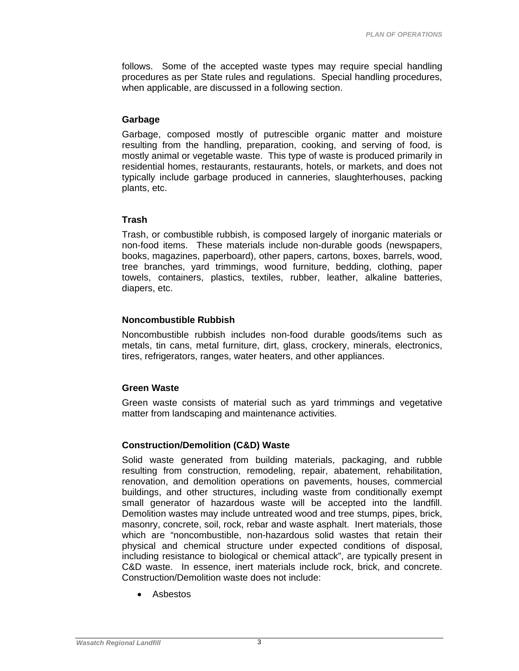follows. Some of the accepted waste types may require special handling procedures as per State rules and regulations. Special handling procedures, when applicable, are discussed in a following section.

#### **Garbage**

Garbage, composed mostly of putrescible organic matter and moisture resulting from the handling, preparation, cooking, and serving of food, is mostly animal or vegetable waste. This type of waste is produced primarily in residential homes, restaurants, restaurants, hotels, or markets, and does not typically include garbage produced in canneries, slaughterhouses, packing plants, etc.

### **Trash**

Trash, or combustible rubbish, is composed largely of inorganic materials or non-food items. These materials include non-durable goods (newspapers, books, magazines, paperboard), other papers, cartons, boxes, barrels, wood, tree branches, yard trimmings, wood furniture, bedding, clothing, paper towels, containers, plastics, textiles, rubber, leather, alkaline batteries, diapers, etc.

#### **Noncombustible Rubbish**

Noncombustible rubbish includes non-food durable goods/items such as metals, tin cans, metal furniture, dirt, glass, crockery, minerals, electronics, tires, refrigerators, ranges, water heaters, and other appliances.

#### **Green Waste**

Green waste consists of material such as yard trimmings and vegetative matter from landscaping and maintenance activities.

### **Construction/Demolition (C&D) Waste**

Solid waste generated from building materials, packaging, and rubble resulting from construction, remodeling, repair, abatement, rehabilitation, renovation, and demolition operations on pavements, houses, commercial buildings, and other structures, including waste from conditionally exempt small generator of hazardous waste will be accepted into the landfill. Demolition wastes may include untreated wood and tree stumps, pipes, brick, masonry, concrete, soil, rock, rebar and waste asphalt. Inert materials, those which are "noncombustible, non-hazardous solid wastes that retain their physical and chemical structure under expected conditions of disposal, including resistance to biological or chemical attack", are typically present in C&D waste. In essence, inert materials include rock, brick, and concrete. Construction/Demolition waste does not include:

Asbestos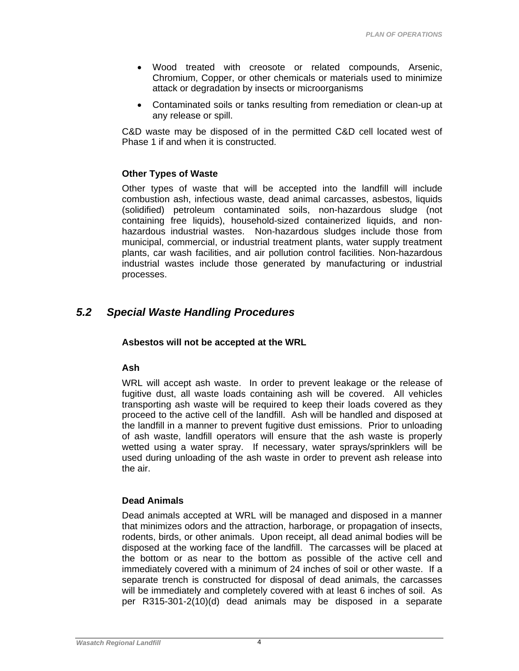- Wood treated with creosote or related compounds, Arsenic, Chromium, Copper, or other chemicals or materials used to minimize attack or degradation by insects or microorganisms
- Contaminated soils or tanks resulting from remediation or clean-up at any release or spill.

C&D waste may be disposed of in the permitted C&D cell located west of Phase 1 if and when it is constructed.

### **Other Types of Waste**

Other types of waste that will be accepted into the landfill will include combustion ash, infectious waste, dead animal carcasses, asbestos, liquids (solidified) petroleum contaminated soils, non-hazardous sludge (not containing free liquids), household-sized containerized liquids, and nonhazardous industrial wastes. Non-hazardous sludges include those from municipal, commercial, or industrial treatment plants, water supply treatment plants, car wash facilities, and air pollution control facilities. Non-hazardous industrial wastes include those generated by manufacturing or industrial processes.

### *5.2 Special Waste Handling Procedures*

#### **Asbestos will not be accepted at the WRL**

#### **Ash**

WRL will accept ash waste. In order to prevent leakage or the release of fugitive dust, all waste loads containing ash will be covered. All vehicles transporting ash waste will be required to keep their loads covered as they proceed to the active cell of the landfill. Ash will be handled and disposed at the landfill in a manner to prevent fugitive dust emissions. Prior to unloading of ash waste, landfill operators will ensure that the ash waste is properly wetted using a water spray. If necessary, water sprays/sprinklers will be used during unloading of the ash waste in order to prevent ash release into the air.

### **Dead Animals**

Dead animals accepted at WRL will be managed and disposed in a manner that minimizes odors and the attraction, harborage, or propagation of insects, rodents, birds, or other animals. Upon receipt, all dead animal bodies will be disposed at the working face of the landfill. The carcasses will be placed at the bottom or as near to the bottom as possible of the active cell and immediately covered with a minimum of 24 inches of soil or other waste. If a separate trench is constructed for disposal of dead animals, the carcasses will be immediately and completely covered with at least 6 inches of soil. As per R315-301-2(10)(d) dead animals may be disposed in a separate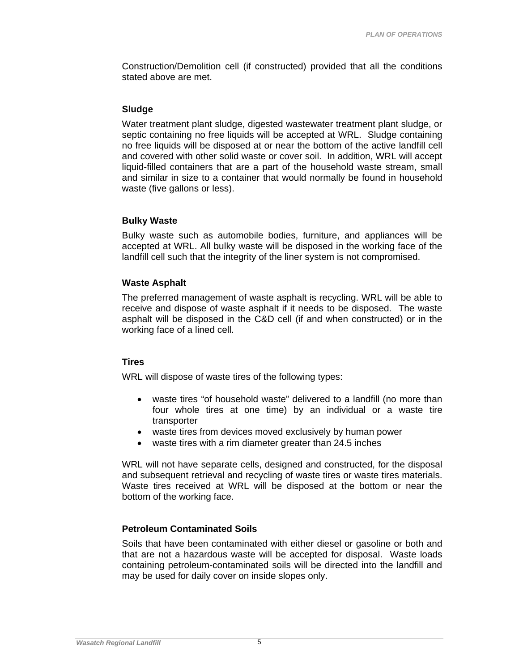Construction/Demolition cell (if constructed) provided that all the conditions stated above are met.

#### **Sludge**

Water treatment plant sludge, digested wastewater treatment plant sludge, or septic containing no free liquids will be accepted at WRL. Sludge containing no free liquids will be disposed at or near the bottom of the active landfill cell and covered with other solid waste or cover soil. In addition, WRL will accept liquid-filled containers that are a part of the household waste stream, small and similar in size to a container that would normally be found in household waste (five gallons or less).

#### **Bulky Waste**

Bulky waste such as automobile bodies, furniture, and appliances will be accepted at WRL. All bulky waste will be disposed in the working face of the landfill cell such that the integrity of the liner system is not compromised.

#### **Waste Asphalt**

The preferred management of waste asphalt is recycling. WRL will be able to receive and dispose of waste asphalt if it needs to be disposed. The waste asphalt will be disposed in the C&D cell (if and when constructed) or in the working face of a lined cell.

#### **Tires**

WRL will dispose of waste tires of the following types:

- waste tires "of household waste" delivered to a landfill (no more than four whole tires at one time) by an individual or a waste tire transporter
- waste tires from devices moved exclusively by human power
- waste tires with a rim diameter greater than 24.5 inches

WRL will not have separate cells, designed and constructed, for the disposal and subsequent retrieval and recycling of waste tires or waste tires materials. Waste tires received at WRL will be disposed at the bottom or near the bottom of the working face.

#### **Petroleum Contaminated Soils**

Soils that have been contaminated with either diesel or gasoline or both and that are not a hazardous waste will be accepted for disposal. Waste loads containing petroleum-contaminated soils will be directed into the landfill and may be used for daily cover on inside slopes only.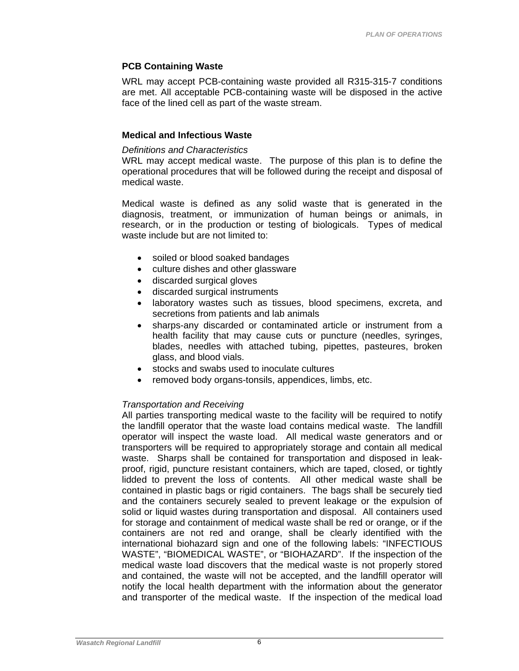#### **PCB Containing Waste**

WRL may accept PCB-containing waste provided all R315-315-7 conditions are met. All acceptable PCB-containing waste will be disposed in the active face of the lined cell as part of the waste stream.

#### **Medical and Infectious Waste**

#### *Definitions and Characteristics*

WRL may accept medical waste. The purpose of this plan is to define the operational procedures that will be followed during the receipt and disposal of medical waste.

Medical waste is defined as any solid waste that is generated in the diagnosis, treatment, or immunization of human beings or animals, in research, or in the production or testing of biologicals. Types of medical waste include but are not limited to:

- soiled or blood soaked bandages
- culture dishes and other glassware
- discarded surgical gloves
- discarded surgical instruments
- laboratory wastes such as tissues, blood specimens, excreta, and secretions from patients and lab animals
- sharps-any discarded or contaminated article or instrument from a health facility that may cause cuts or puncture (needles, syringes, blades, needles with attached tubing, pipettes, pasteures, broken glass, and blood vials.
- stocks and swabs used to inoculate cultures
- removed body organs-tonsils, appendices, limbs, etc.

### *Transportation and Receiving*

All parties transporting medical waste to the facility will be required to notify the landfill operator that the waste load contains medical waste. The landfill operator will inspect the waste load. All medical waste generators and or transporters will be required to appropriately storage and contain all medical waste. Sharps shall be contained for transportation and disposed in leakproof, rigid, puncture resistant containers, which are taped, closed, or tightly lidded to prevent the loss of contents. All other medical waste shall be contained in plastic bags or rigid containers. The bags shall be securely tied and the containers securely sealed to prevent leakage or the expulsion of solid or liquid wastes during transportation and disposal. All containers used for storage and containment of medical waste shall be red or orange, or if the containers are not red and orange, shall be clearly identified with the international biohazard sign and one of the following labels: "INFECTIOUS WASTE", "BIOMEDICAL WASTE", or "BIOHAZARD". If the inspection of the medical waste load discovers that the medical waste is not properly stored and contained, the waste will not be accepted, and the landfill operator will notify the local health department with the information about the generator and transporter of the medical waste. If the inspection of the medical load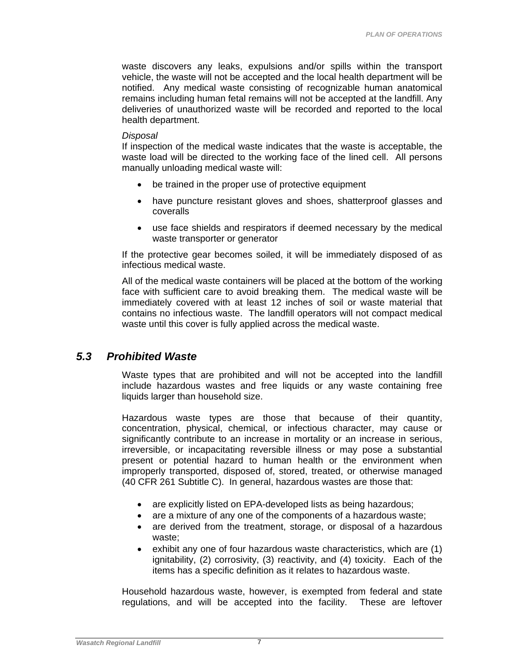waste discovers any leaks, expulsions and/or spills within the transport vehicle, the waste will not be accepted and the local health department will be notified. Any medical waste consisting of recognizable human anatomical remains including human fetal remains will not be accepted at the landfill. Any deliveries of unauthorized waste will be recorded and reported to the local health department.

#### *Disposal*

If inspection of the medical waste indicates that the waste is acceptable, the waste load will be directed to the working face of the lined cell. All persons manually unloading medical waste will:

- be trained in the proper use of protective equipment
- have puncture resistant gloves and shoes, shatterproof glasses and coveralls
- use face shields and respirators if deemed necessary by the medical waste transporter or generator

If the protective gear becomes soiled, it will be immediately disposed of as infectious medical waste.

All of the medical waste containers will be placed at the bottom of the working face with sufficient care to avoid breaking them. The medical waste will be immediately covered with at least 12 inches of soil or waste material that contains no infectious waste. The landfill operators will not compact medical waste until this cover is fully applied across the medical waste.

### *5.3 Prohibited Waste*

Waste types that are prohibited and will not be accepted into the landfill include hazardous wastes and free liquids or any waste containing free liquids larger than household size.

Hazardous waste types are those that because of their quantity, concentration, physical, chemical, or infectious character, may cause or significantly contribute to an increase in mortality or an increase in serious, irreversible, or incapacitating reversible illness or may pose a substantial present or potential hazard to human health or the environment when improperly transported, disposed of, stored, treated, or otherwise managed (40 CFR 261 Subtitle C). In general, hazardous wastes are those that:

- are explicitly listed on EPA-developed lists as being hazardous;
- are a mixture of any one of the components of a hazardous waste;
- are derived from the treatment, storage, or disposal of a hazardous waste;
- $\bullet$  exhibit any one of four hazardous waste characteristics, which are (1) ignitability, (2) corrosivity, (3) reactivity, and (4) toxicity. Each of the items has a specific definition as it relates to hazardous waste.

Household hazardous waste, however, is exempted from federal and state regulations, and will be accepted into the facility. These are leftover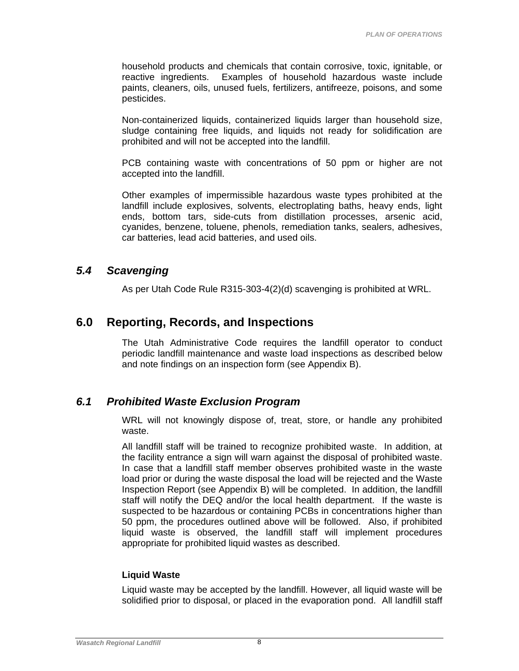household products and chemicals that contain corrosive, toxic, ignitable, or reactive ingredients. Examples of household hazardous waste include paints, cleaners, oils, unused fuels, fertilizers, antifreeze, poisons, and some pesticides.

Non-containerized liquids, containerized liquids larger than household size, sludge containing free liquids, and liquids not ready for solidification are prohibited and will not be accepted into the landfill.

PCB containing waste with concentrations of 50 ppm or higher are not accepted into the landfill.

Other examples of impermissible hazardous waste types prohibited at the landfill include explosives, solvents, electroplating baths, heavy ends, light ends, bottom tars, side-cuts from distillation processes, arsenic acid, cyanides, benzene, toluene, phenols, remediation tanks, sealers, adhesives, car batteries, lead acid batteries, and used oils.

### *5.4 Scavenging*

As per Utah Code Rule R315-303-4(2)(d) scavenging is prohibited at WRL.

### **6.0 Reporting, Records, and Inspections**

The Utah Administrative Code requires the landfill operator to conduct periodic landfill maintenance and waste load inspections as described below and note findings on an inspection form (see Appendix B).

### *6.1 Prohibited Waste Exclusion Program*

WRL will not knowingly dispose of, treat, store, or handle any prohibited waste.

All landfill staff will be trained to recognize prohibited waste. In addition, at the facility entrance a sign will warn against the disposal of prohibited waste. In case that a landfill staff member observes prohibited waste in the waste load prior or during the waste disposal the load will be rejected and the Waste Inspection Report (see Appendix B) will be completed. In addition, the landfill staff will notify the DEQ and/or the local health department. If the waste is suspected to be hazardous or containing PCBs in concentrations higher than 50 ppm, the procedures outlined above will be followed. Also, if prohibited liquid waste is observed, the landfill staff will implement procedures appropriate for prohibited liquid wastes as described.

### **Liquid Waste**

Liquid waste may be accepted by the landfill. However, all liquid waste will be solidified prior to disposal, or placed in the evaporation pond. All landfill staff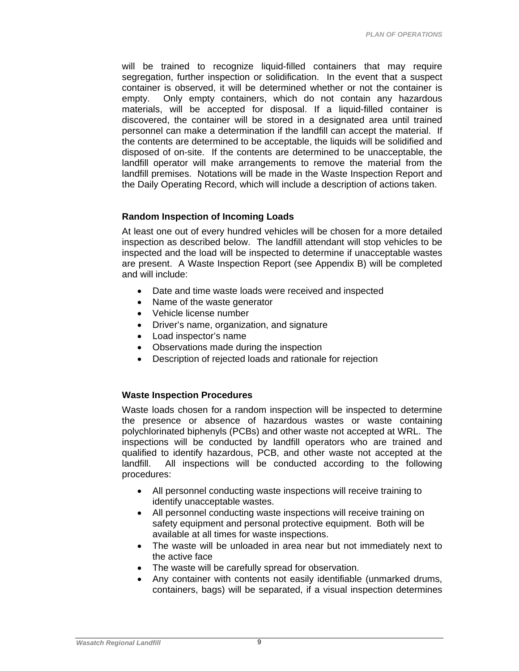will be trained to recognize liquid-filled containers that may require segregation, further inspection or solidification. In the event that a suspect container is observed, it will be determined whether or not the container is empty. Only empty containers, which do not contain any hazardous materials, will be accepted for disposal. If a liquid-filled container is discovered, the container will be stored in a designated area until trained personnel can make a determination if the landfill can accept the material. If the contents are determined to be acceptable, the liquids will be solidified and disposed of on-site. If the contents are determined to be unacceptable, the landfill operator will make arrangements to remove the material from the landfill premises. Notations will be made in the Waste Inspection Report and the Daily Operating Record, which will include a description of actions taken.

#### **Random Inspection of Incoming Loads**

At least one out of every hundred vehicles will be chosen for a more detailed inspection as described below. The landfill attendant will stop vehicles to be inspected and the load will be inspected to determine if unacceptable wastes are present. A Waste Inspection Report (see Appendix B) will be completed and will include:

- Date and time waste loads were received and inspected
- Name of the waste generator
- Vehicle license number
- Driver's name, organization, and signature
- Load inspector's name
- Observations made during the inspection
- Description of rejected loads and rationale for rejection

### **Waste Inspection Procedures**

Waste loads chosen for a random inspection will be inspected to determine the presence or absence of hazardous wastes or waste containing polychlorinated biphenyls (PCBs) and other waste not accepted at WRL. The inspections will be conducted by landfill operators who are trained and qualified to identify hazardous, PCB, and other waste not accepted at the landfill. All inspections will be conducted according to the following procedures:

- All personnel conducting waste inspections will receive training to identify unacceptable wastes.
- All personnel conducting waste inspections will receive training on safety equipment and personal protective equipment. Both will be available at all times for waste inspections.
- The waste will be unloaded in area near but not immediately next to the active face
- The waste will be carefully spread for observation.
- Any container with contents not easily identifiable (unmarked drums, containers, bags) will be separated, if a visual inspection determines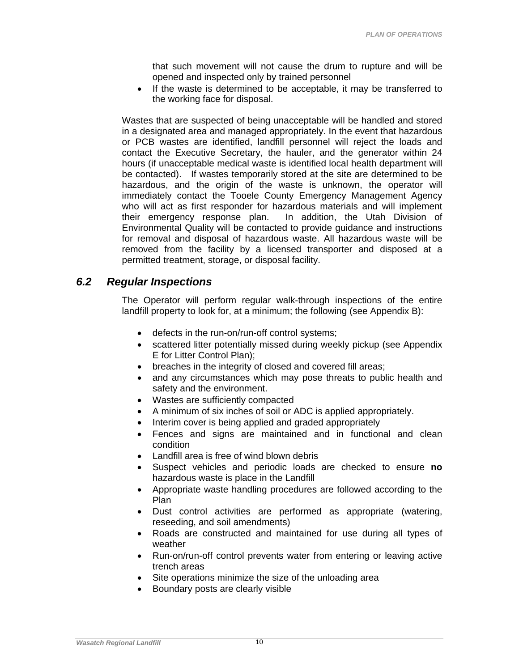that such movement will not cause the drum to rupture and will be opened and inspected only by trained personnel

 If the waste is determined to be acceptable, it may be transferred to the working face for disposal.

Wastes that are suspected of being unacceptable will be handled and stored in a designated area and managed appropriately. In the event that hazardous or PCB wastes are identified, landfill personnel will reject the loads and contact the Executive Secretary, the hauler, and the generator within 24 hours (if unacceptable medical waste is identified local health department will be contacted). If wastes temporarily stored at the site are determined to be hazardous, and the origin of the waste is unknown, the operator will immediately contact the Tooele County Emergency Management Agency who will act as first responder for hazardous materials and will implement their emergency response plan. In addition, the Utah Division of Environmental Quality will be contacted to provide guidance and instructions for removal and disposal of hazardous waste. All hazardous waste will be removed from the facility by a licensed transporter and disposed at a permitted treatment, storage, or disposal facility.

### *6.2 Regular Inspections*

The Operator will perform regular walk-through inspections of the entire landfill property to look for, at a minimum; the following (see Appendix B):

- defects in the run-on/run-off control systems;
- scattered litter potentially missed during weekly pickup (see Appendix E for Litter Control Plan);
- breaches in the integrity of closed and covered fill areas;
- and any circumstances which may pose threats to public health and safety and the environment.
- Wastes are sufficiently compacted
- A minimum of six inches of soil or ADC is applied appropriately.
- Interim cover is being applied and graded appropriately
- Fences and signs are maintained and in functional and clean condition
- Landfill area is free of wind blown debris
- Suspect vehicles and periodic loads are checked to ensure **no** hazardous waste is place in the Landfill
- Appropriate waste handling procedures are followed according to the Plan
- Dust control activities are performed as appropriate (watering, reseeding, and soil amendments)
- Roads are constructed and maintained for use during all types of weather
- Run-on/run-off control prevents water from entering or leaving active trench areas
- Site operations minimize the size of the unloading area
- Boundary posts are clearly visible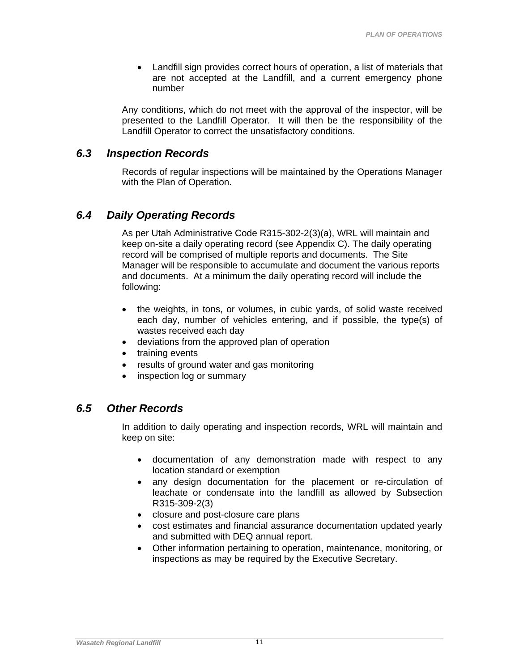Landfill sign provides correct hours of operation, a list of materials that are not accepted at the Landfill, and a current emergency phone number

Any conditions, which do not meet with the approval of the inspector, will be presented to the Landfill Operator. It will then be the responsibility of the Landfill Operator to correct the unsatisfactory conditions.

### *6.3 Inspection Records*

Records of regular inspections will be maintained by the Operations Manager with the Plan of Operation.

### *6.4 Daily Operating Records*

As per Utah Administrative Code R315-302-2(3)(a), WRL will maintain and keep on-site a daily operating record (see Appendix C). The daily operating record will be comprised of multiple reports and documents. The Site Manager will be responsible to accumulate and document the various reports and documents. At a minimum the daily operating record will include the following:

- the weights, in tons, or volumes, in cubic yards, of solid waste received each day, number of vehicles entering, and if possible, the type(s) of wastes received each day
- deviations from the approved plan of operation
- training events
- results of ground water and gas monitoring
- inspection log or summary

### *6.5 Other Records*

In addition to daily operating and inspection records, WRL will maintain and keep on site:

- documentation of any demonstration made with respect to any location standard or exemption
- any design documentation for the placement or re-circulation of leachate or condensate into the landfill as allowed by Subsection R315-309-2(3)
- closure and post-closure care plans
- cost estimates and financial assurance documentation updated yearly and submitted with DEQ annual report.
- Other information pertaining to operation, maintenance, monitoring, or inspections as may be required by the Executive Secretary.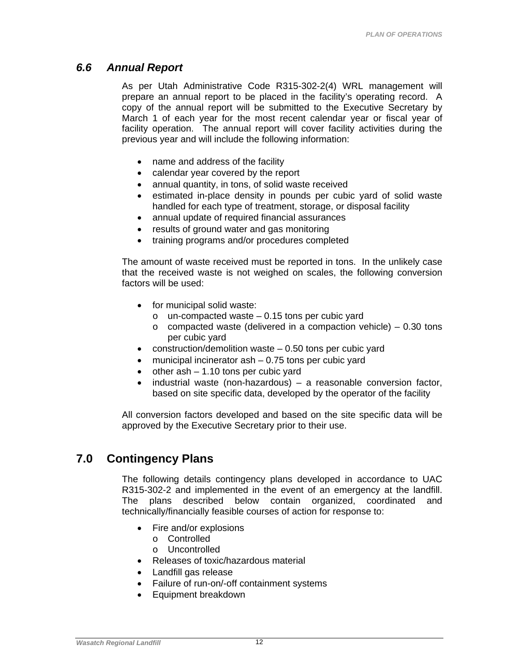### *6.6 Annual Report*

As per Utah Administrative Code R315-302-2(4) WRL management will prepare an annual report to be placed in the facility's operating record. A copy of the annual report will be submitted to the Executive Secretary by March 1 of each year for the most recent calendar year or fiscal year of facility operation. The annual report will cover facility activities during the previous year and will include the following information:

- name and address of the facility
- calendar year covered by the report
- annual quantity, in tons, of solid waste received
- estimated in-place density in pounds per cubic yard of solid waste handled for each type of treatment, storage, or disposal facility
- annual update of required financial assurances
- results of ground water and gas monitoring
- training programs and/or procedures completed

The amount of waste received must be reported in tons. In the unlikely case that the received waste is not weighed on scales, the following conversion factors will be used:

- for municipal solid waste:
	- $\circ$  un-compacted waste  $-0.15$  tons per cubic yard
	- $\circ$  compacted waste (delivered in a compaction vehicle) 0.30 tons per cubic yard
- construction/demolition waste 0.50 tons per cubic yard
- municipal incinerator ash 0.75 tons per cubic yard
- other ash 1.10 tons per cubic yard
- industrial waste (non-hazardous) a reasonable conversion factor, based on site specific data, developed by the operator of the facility

All conversion factors developed and based on the site specific data will be approved by the Executive Secretary prior to their use.

# **7.0 Contingency Plans**

The following details contingency plans developed in accordance to UAC R315-302-2 and implemented in the event of an emergency at the landfill. The plans described below contain organized, coordinated and technically/financially feasible courses of action for response to:

- Fire and/or explosions
	- o Controlled
	- o Uncontrolled
- Releases of toxic/hazardous material
- Landfill gas release
- Failure of run-on/-off containment systems
- Equipment breakdown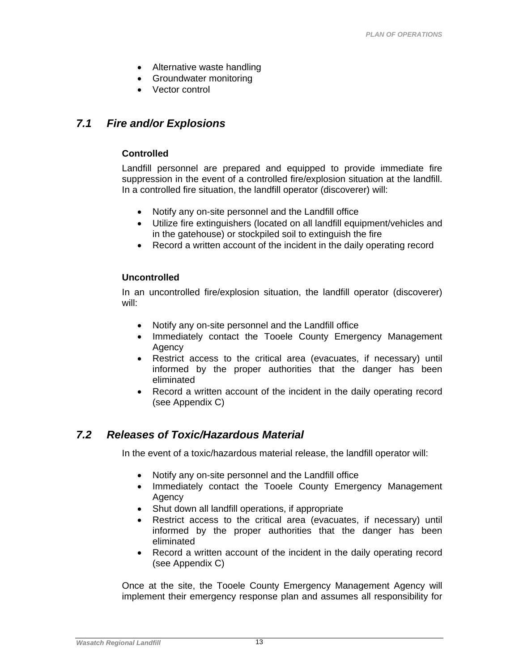- Alternative waste handling
- Groundwater monitoring
- Vector control

### *7.1 Fire and/or Explosions*

#### **Controlled**

Landfill personnel are prepared and equipped to provide immediate fire suppression in the event of a controlled fire/explosion situation at the landfill. In a controlled fire situation, the landfill operator (discoverer) will:

- Notify any on-site personnel and the Landfill office
- Utilize fire extinguishers (located on all landfill equipment/vehicles and in the gatehouse) or stockpiled soil to extinguish the fire
- Record a written account of the incident in the daily operating record

#### **Uncontrolled**

In an uncontrolled fire/explosion situation, the landfill operator (discoverer) will:

- Notify any on-site personnel and the Landfill office
- Immediately contact the Tooele County Emergency Management Agency
- Restrict access to the critical area (evacuates, if necessary) until informed by the proper authorities that the danger has been eliminated
- Record a written account of the incident in the daily operating record (see Appendix C)

### *7.2 Releases of Toxic/Hazardous Material*

In the event of a toxic/hazardous material release, the landfill operator will:

- Notify any on-site personnel and the Landfill office
- Immediately contact the Tooele County Emergency Management Agency
- Shut down all landfill operations, if appropriate
- Restrict access to the critical area (evacuates, if necessary) until informed by the proper authorities that the danger has been eliminated
- Record a written account of the incident in the daily operating record (see Appendix C)

Once at the site, the Tooele County Emergency Management Agency will implement their emergency response plan and assumes all responsibility for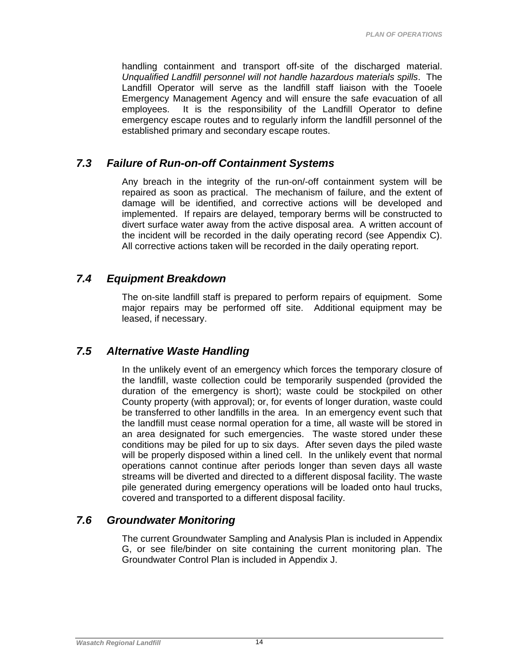handling containment and transport off-site of the discharged material. *Unqualified Landfill personnel will not handle hazardous materials spills*. The Landfill Operator will serve as the landfill staff liaison with the Tooele Emergency Management Agency and will ensure the safe evacuation of all employees. It is the responsibility of the Landfill Operator to define emergency escape routes and to regularly inform the landfill personnel of the established primary and secondary escape routes.

### *7.3 Failure of Run-on-off Containment Systems*

Any breach in the integrity of the run-on/-off containment system will be repaired as soon as practical. The mechanism of failure, and the extent of damage will be identified, and corrective actions will be developed and implemented. If repairs are delayed, temporary berms will be constructed to divert surface water away from the active disposal area. A written account of the incident will be recorded in the daily operating record (see Appendix C). All corrective actions taken will be recorded in the daily operating report.

### *7.4 Equipment Breakdown*

The on-site landfill staff is prepared to perform repairs of equipment. Some major repairs may be performed off site. Additional equipment may be leased, if necessary.

### *7.5 Alternative Waste Handling*

In the unlikely event of an emergency which forces the temporary closure of the landfill, waste collection could be temporarily suspended (provided the duration of the emergency is short); waste could be stockpiled on other County property (with approval); or, for events of longer duration, waste could be transferred to other landfills in the area. In an emergency event such that the landfill must cease normal operation for a time, all waste will be stored in an area designated for such emergencies. The waste stored under these conditions may be piled for up to six days. After seven days the piled waste will be properly disposed within a lined cell. In the unlikely event that normal operations cannot continue after periods longer than seven days all waste streams will be diverted and directed to a different disposal facility. The waste pile generated during emergency operations will be loaded onto haul trucks, covered and transported to a different disposal facility.

### *7.6 Groundwater Monitoring*

The current Groundwater Sampling and Analysis Plan is included in Appendix G, or see file/binder on site containing the current monitoring plan. The Groundwater Control Plan is included in Appendix J.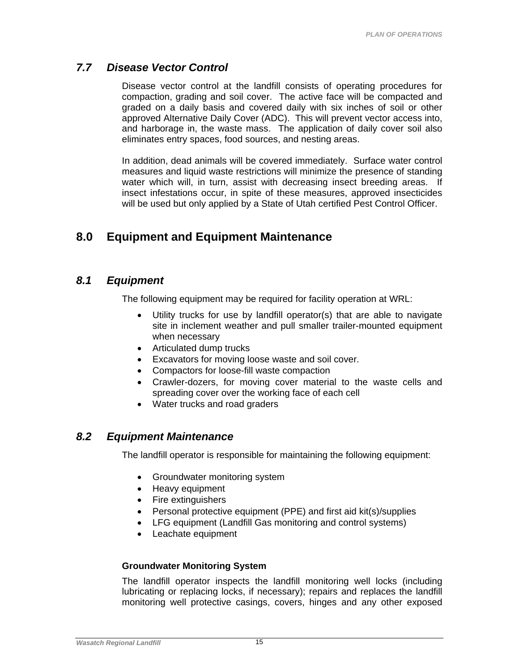### *7.7 Disease Vector Control*

Disease vector control at the landfill consists of operating procedures for compaction, grading and soil cover. The active face will be compacted and graded on a daily basis and covered daily with six inches of soil or other approved Alternative Daily Cover (ADC). This will prevent vector access into, and harborage in, the waste mass. The application of daily cover soil also eliminates entry spaces, food sources, and nesting areas.

In addition, dead animals will be covered immediately. Surface water control measures and liquid waste restrictions will minimize the presence of standing water which will, in turn, assist with decreasing insect breeding areas. If insect infestations occur, in spite of these measures, approved insecticides will be used but only applied by a State of Utah certified Pest Control Officer.

# **8.0 Equipment and Equipment Maintenance**

### *8.1 Equipment*

The following equipment may be required for facility operation at WRL:

- Utility trucks for use by landfill operator(s) that are able to navigate site in inclement weather and pull smaller trailer-mounted equipment when necessary
- Articulated dump trucks
- Excavators for moving loose waste and soil cover.
- Compactors for loose-fill waste compaction
- Crawler-dozers, for moving cover material to the waste cells and spreading cover over the working face of each cell
- Water trucks and road graders

### *8.2 Equipment Maintenance*

The landfill operator is responsible for maintaining the following equipment:

- Groundwater monitoring system
- Heavy equipment
- Fire extinguishers
- Personal protective equipment (PPE) and first aid kit(s)/supplies
- LFG equipment (Landfill Gas monitoring and control systems)
- Leachate equipment

### **Groundwater Monitoring System**

The landfill operator inspects the landfill monitoring well locks (including lubricating or replacing locks, if necessary); repairs and replaces the landfill monitoring well protective casings, covers, hinges and any other exposed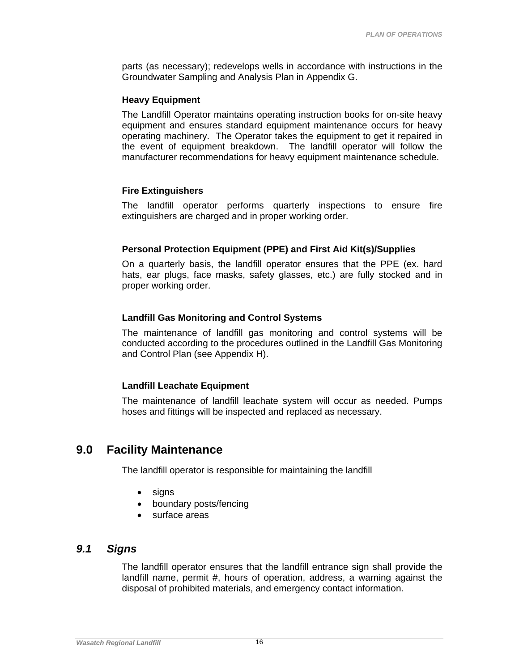parts (as necessary); redevelops wells in accordance with instructions in the Groundwater Sampling and Analysis Plan in Appendix G.

#### **Heavy Equipment**

The Landfill Operator maintains operating instruction books for on-site heavy equipment and ensures standard equipment maintenance occurs for heavy operating machinery. The Operator takes the equipment to get it repaired in the event of equipment breakdown. The landfill operator will follow the manufacturer recommendations for heavy equipment maintenance schedule.

### **Fire Extinguishers**

The landfill operator performs quarterly inspections to ensure fire extinguishers are charged and in proper working order.

### **Personal Protection Equipment (PPE) and First Aid Kit(s)/Supplies**

On a quarterly basis, the landfill operator ensures that the PPE (ex. hard hats, ear plugs, face masks, safety glasses, etc.) are fully stocked and in proper working order.

### **Landfill Gas Monitoring and Control Systems**

The maintenance of landfill gas monitoring and control systems will be conducted according to the procedures outlined in the Landfill Gas Monitoring and Control Plan (see Appendix H).

### **Landfill Leachate Equipment**

The maintenance of landfill leachate system will occur as needed. Pumps hoses and fittings will be inspected and replaced as necessary.

### **9.0 Facility Maintenance**

The landfill operator is responsible for maintaining the landfill

- signs
- boundary posts/fencing
- surface areas

### *9.1 Signs*

The landfill operator ensures that the landfill entrance sign shall provide the landfill name, permit #, hours of operation, address, a warning against the disposal of prohibited materials, and emergency contact information.